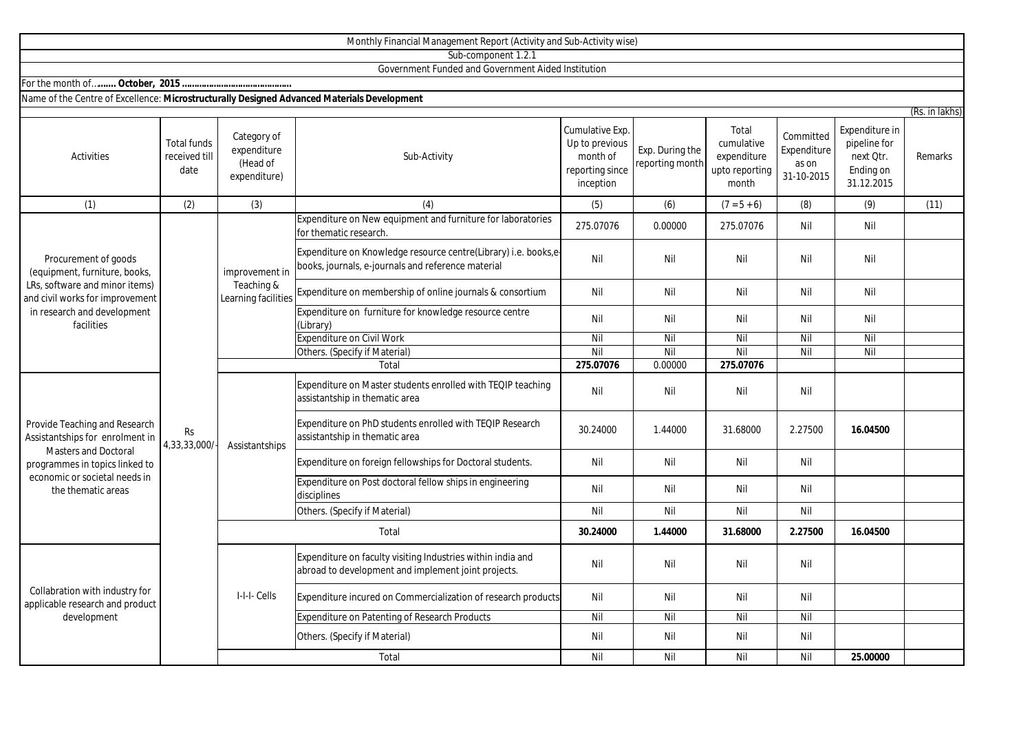|                                                                                                                                                                                          |                                             |                                                        | Monthly Financial Management Report (Activity and Sub-Activity wise)                                                  |                                                                               |                                    |                                                               |                                                 |                                                                        |                           |
|------------------------------------------------------------------------------------------------------------------------------------------------------------------------------------------|---------------------------------------------|--------------------------------------------------------|-----------------------------------------------------------------------------------------------------------------------|-------------------------------------------------------------------------------|------------------------------------|---------------------------------------------------------------|-------------------------------------------------|------------------------------------------------------------------------|---------------------------|
|                                                                                                                                                                                          |                                             |                                                        | Sub-component 1.2.1                                                                                                   |                                                                               |                                    |                                                               |                                                 |                                                                        |                           |
|                                                                                                                                                                                          |                                             |                                                        | Government Funded and Government Aided Institution                                                                    |                                                                               |                                    |                                                               |                                                 |                                                                        |                           |
|                                                                                                                                                                                          |                                             |                                                        |                                                                                                                       |                                                                               |                                    |                                                               |                                                 |                                                                        |                           |
| Name of the Centre of Excellence: Microstructurally Designed Advanced Materials Development                                                                                              |                                             |                                                        |                                                                                                                       |                                                                               |                                    |                                                               |                                                 |                                                                        |                           |
| Activities                                                                                                                                                                               | <b>Total funds</b><br>received till<br>date | Category of<br>expenditure<br>(Head of<br>expenditure) | Sub-Activity                                                                                                          | Cumulative Exp.<br>Up to previous<br>month of<br>reporting since<br>inception | Exp. During the<br>reporting month | Total<br>cumulative<br>expenditure<br>upto reporting<br>month | Committed<br>Expenditure<br>as on<br>31-10-2015 | Expenditure in<br>pipeline for<br>next Qtr.<br>Ending on<br>31.12.2015 | (Rs. in lakhs)<br>Remarks |
| (1)                                                                                                                                                                                      | (2)                                         | (3)                                                    | (4)                                                                                                                   | (5)                                                                           | (6)                                | $(7 = 5 + 6)$                                                 | (8)                                             | (9)                                                                    | (11)                      |
| Procurement of goods<br>(equipment, furniture, books,<br>LRs, software and minor items)<br>and civil works for improvement<br>in research and development<br>facilities                  | Rs<br>4,33,33,000/                          | improvement in<br>Teaching &<br>Learning facilities    | Expenditure on New equipment and furniture for laboratories<br>for thematic research.                                 | 275.07076                                                                     | 0.00000                            | 275.07076                                                     | Nil                                             | Nil                                                                    |                           |
|                                                                                                                                                                                          |                                             |                                                        | Expenditure on Knowledge resource centre(Library) i.e. books,e-<br>books, journals, e-journals and reference material | Nil                                                                           | Nil                                | Nil                                                           | Nil                                             | Nil                                                                    |                           |
|                                                                                                                                                                                          |                                             |                                                        | Expenditure on membership of online journals & consortium                                                             | Nil                                                                           | Nil                                | Nil                                                           | Nil                                             | Nil                                                                    |                           |
|                                                                                                                                                                                          |                                             |                                                        | Expenditure on furniture for knowledge resource centre<br>(Library)                                                   | Nil                                                                           | Nil                                | Nil                                                           | Nil                                             | Nil                                                                    |                           |
|                                                                                                                                                                                          |                                             |                                                        | <b>Expenditure on Civil Work</b>                                                                                      | Nil                                                                           | Nil                                | Nil                                                           | Nil                                             | Nil                                                                    |                           |
|                                                                                                                                                                                          |                                             |                                                        | Others. (Specify if Material)                                                                                         | Nil                                                                           | Nil                                | Nil                                                           | Nil                                             | Nil                                                                    |                           |
|                                                                                                                                                                                          |                                             | Total                                                  |                                                                                                                       | 275.07076                                                                     | 0.00000                            | 275.07076                                                     |                                                 |                                                                        |                           |
| Provide Teaching and Research<br>Assistantships for enrolment in<br><b>Masters and Doctoral</b><br>programmes in topics linked to<br>economic or societal needs in<br>the thematic areas |                                             | Assistantships                                         | Expenditure on Master students enrolled with TEQIP teaching<br>assistantship in thematic area                         | Nil                                                                           | Nil                                | Nil                                                           | Nil                                             |                                                                        |                           |
|                                                                                                                                                                                          |                                             |                                                        | Expenditure on PhD students enrolled with TEQIP Research<br>assistantship in thematic area                            | 30.24000                                                                      | 1.44000                            | 31.68000                                                      | 2.27500                                         | 16.04500                                                               |                           |
|                                                                                                                                                                                          |                                             |                                                        | Expenditure on foreign fellowships for Doctoral students.                                                             | Nil                                                                           | Nil                                | Nil                                                           | Nil                                             |                                                                        |                           |
|                                                                                                                                                                                          |                                             |                                                        | Expenditure on Post doctoral fellow ships in engineering<br>disciplines                                               | Nil                                                                           | Nil                                | Nil                                                           | Nil                                             |                                                                        |                           |
|                                                                                                                                                                                          |                                             |                                                        | Others. (Specify if Material)                                                                                         | Nil                                                                           | Nil                                | Nil                                                           | Nil                                             |                                                                        |                           |
|                                                                                                                                                                                          |                                             | Total                                                  |                                                                                                                       | 30.24000                                                                      | 1.44000                            | 31.68000                                                      | 2.27500                                         | 16.04500                                                               |                           |
| Collabration with industry for<br>applicable research and product<br>development                                                                                                         |                                             | I-I-I-Cells                                            | Expenditure on faculty visiting Industries within india and<br>abroad to development and implement joint projects.    | Nil                                                                           | Nil                                | Nil                                                           | Nil                                             |                                                                        |                           |
|                                                                                                                                                                                          |                                             |                                                        | Expenditure incured on Commercialization of research products                                                         | Nil                                                                           | Nil                                | Nil                                                           | Nil                                             |                                                                        |                           |
|                                                                                                                                                                                          |                                             |                                                        | Expenditure on Patenting of Research Products                                                                         | Nil                                                                           | Nil                                | Nil                                                           | Nil                                             |                                                                        |                           |
|                                                                                                                                                                                          |                                             |                                                        | Others. (Specify if Material)                                                                                         | Nil                                                                           | Nil                                | Nil                                                           | Nil                                             |                                                                        |                           |
|                                                                                                                                                                                          |                                             |                                                        | Total                                                                                                                 | Nil                                                                           | Nil                                | Nil                                                           | Nil                                             | 25.00000                                                               |                           |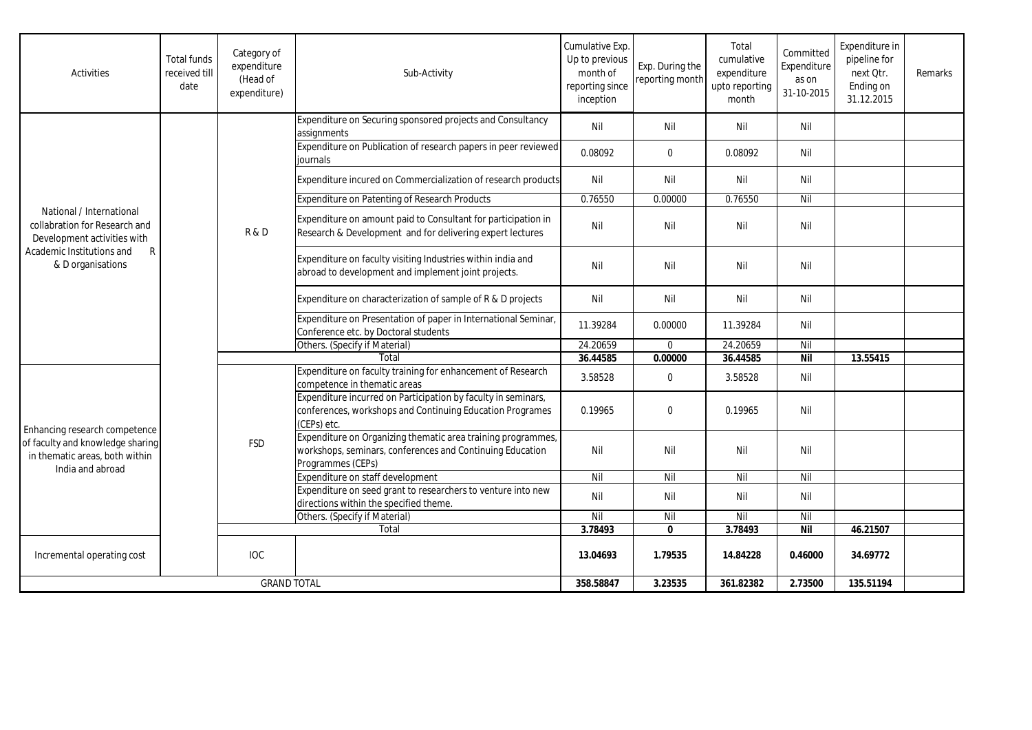| Activities                                                                                                                                                 | <b>Total funds</b><br>received till<br>date | Category of<br>expenditure<br>(Head of<br>expenditure) | Sub-Activity                                                                                                                                   | Cumulative Exp.<br>Up to previous<br>month of<br>reporting since<br>inception | Exp. During the<br>reporting month | Total<br>cumulative<br>expenditure<br>upto reporting<br>month | Committed<br>Expenditure<br>as on<br>31-10-2015 | Expenditure in<br>pipeline for<br>next Otr.<br>Ending on<br>31.12.2015 | Remarks |
|------------------------------------------------------------------------------------------------------------------------------------------------------------|---------------------------------------------|--------------------------------------------------------|------------------------------------------------------------------------------------------------------------------------------------------------|-------------------------------------------------------------------------------|------------------------------------|---------------------------------------------------------------|-------------------------------------------------|------------------------------------------------------------------------|---------|
| National / International<br>collabration for Research and<br>Development activities with<br>Academic Institutions and<br>$\mathsf{R}$<br>& D organisations |                                             | R & D                                                  | Expenditure on Securing sponsored projects and Consultancy<br>assignments                                                                      | Nil                                                                           | Nil                                | Nil                                                           | Nil                                             |                                                                        |         |
|                                                                                                                                                            |                                             |                                                        | Expenditure on Publication of research papers in peer reviewed<br>iournals                                                                     | 0.08092                                                                       | $\mathbf 0$                        | 0.08092                                                       | Nil                                             |                                                                        |         |
|                                                                                                                                                            |                                             |                                                        | Expenditure incured on Commercialization of research products                                                                                  | Nil                                                                           | Nil                                | Nil                                                           | Nil                                             |                                                                        |         |
|                                                                                                                                                            |                                             |                                                        | Expenditure on Patenting of Research Products                                                                                                  | 0.76550                                                                       | 0.00000                            | 0.76550                                                       | Nil                                             |                                                                        |         |
|                                                                                                                                                            |                                             |                                                        | Expenditure on amount paid to Consultant for participation in<br>Research & Development and for delivering expert lectures                     | Nil                                                                           | Nil                                | Nil                                                           | Nil                                             |                                                                        |         |
|                                                                                                                                                            |                                             |                                                        | Expenditure on faculty visiting Industries within india and<br>abroad to development and implement joint projects.                             | Nil                                                                           | Nil                                | Nil                                                           | Nil                                             |                                                                        |         |
|                                                                                                                                                            |                                             |                                                        | Expenditure on characterization of sample of R & D projects                                                                                    | Nil                                                                           | Nil                                | Nil                                                           | Nil                                             |                                                                        |         |
|                                                                                                                                                            |                                             |                                                        | Expenditure on Presentation of paper in International Seminar,<br>Conference etc. by Doctoral students                                         | 11.39284                                                                      | 0.00000                            | 11.39284                                                      | Nil                                             |                                                                        |         |
|                                                                                                                                                            |                                             |                                                        | Others. (Specify if Material)                                                                                                                  | 24.20659                                                                      | $\mathbf 0$                        | 24.20659                                                      | Nil                                             |                                                                        |         |
|                                                                                                                                                            |                                             | Total                                                  |                                                                                                                                                | 36.44585                                                                      | 0.00000                            | 36.44585                                                      | <b>Nil</b>                                      | 13.55415                                                               |         |
| Enhancing research competence<br>of faculty and knowledge sharing<br>in thematic areas, both within<br>India and abroad                                    |                                             | <b>FSD</b>                                             | Expenditure on faculty training for enhancement of Research<br>competence in thematic areas                                                    | 3.58528                                                                       | 0                                  | 3.58528                                                       | Nil                                             |                                                                        |         |
|                                                                                                                                                            |                                             |                                                        | Expenditure incurred on Participation by faculty in seminars,<br>conferences, workshops and Continuing Education Programes<br>(CEPs) etc.      | 0.19965                                                                       | $\mathbf 0$                        | 0.19965                                                       | Nil                                             |                                                                        |         |
|                                                                                                                                                            |                                             |                                                        | Expenditure on Organizing thematic area training programmes,<br>workshops, seminars, conferences and Continuing Education<br>Programmes (CEPs) | Nil                                                                           | Nil                                | Nil                                                           | Nil                                             |                                                                        |         |
|                                                                                                                                                            |                                             |                                                        | Expenditure on staff development                                                                                                               | Nil                                                                           | Nil                                | Nil                                                           | Nil                                             |                                                                        |         |
|                                                                                                                                                            |                                             |                                                        | Expenditure on seed grant to researchers to venture into new<br>directions within the specified theme.                                         | Nil                                                                           | Nil                                | Nil                                                           | Nil                                             |                                                                        |         |
|                                                                                                                                                            |                                             |                                                        | Others. (Specify if Material)                                                                                                                  | Nil                                                                           | Nil                                | Nil                                                           | Nil                                             |                                                                        |         |
|                                                                                                                                                            |                                             |                                                        | Total                                                                                                                                          | 3.78493                                                                       | $\mathbf{0}$                       | 3.78493                                                       | Nil                                             | 46.21507                                                               |         |
| Incremental operating cost                                                                                                                                 |                                             | <b>IOC</b>                                             |                                                                                                                                                | 13.04693                                                                      | 1.79535                            | 14.84228                                                      | 0.46000                                         | 34.69772                                                               |         |
| <b>GRAND TOTAL</b>                                                                                                                                         |                                             |                                                        | 358.58847                                                                                                                                      | 3.23535                                                                       | 361.82382                          | 2.73500                                                       | 135.51194                                       |                                                                        |         |